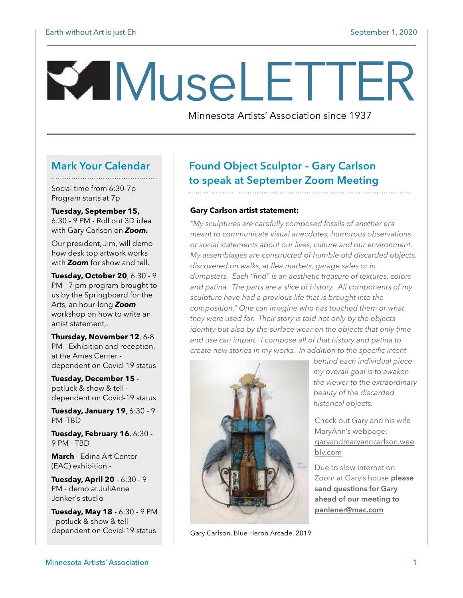# MuseLETTER

Minnesota Artists' Association since 1937

#### **Mark Your Calendar**

Social time from 6:30-7p Program starts at 7p

**Tuesday, September 15,**  6:30 - 9 PM - Roll out 3D idea with Gary Carlson on *Zoom.*

Our president, Jim, will demo how desk top artwork works with *Zoom* for show and tell.

**Tuesday, October 20**, 6:30 - 9 PM - 7 pm program brought to us by the Springboard for the Arts, an hour-long *Zoom*  workshop on how to write an artist statement,.

**Thursday, November 12**, 6-8 PM - Exhibition and reception, at the Ames Center dependent on Covid-19 status

**Tuesday, December 15**  potluck & show & tell dependent on Covid-19 status

**Tuesday, January 19**, 6:30 - 9 PM -TBD

**Tuesday, February 16**, 6:30 - 9 PM - TBD

**March** - Edina Art Center (EAC) exhibition -

**Tuesday, April 20** - 6:30 - 9 PM - demo at JuliAnne Jonker's studio

**Tuesday, May 18** - 6:30 - 9 PM - potluck & show & tell dependent on Covid-19 status

## **Found Object Sculptor – Gary Carlson to speak at September Zoom Meeting**

#### **Gary Carlson artist statement:**

*"My sculptures are carefully composed fossils of another era meant to communicate visual anecdotes, humorous observations or social statements about our lives, culture and our environment. My assemblages are constructed of humble old discarded objects, discovered on walks, at flea markets, garage sales or in dumpsters. Each "find" is an aesthetic treasure of textures, colors and patina. The parts are a slice of history. All components of my sculpture have had a previous life that is brought into the composition." One can imagine who has touched them or what they were used for. Their story is told not only by the objects identity but also by the surface wear on the objects that only time and use can impart. I compose all of that history and patina to create new stories in my works. In addition to the specific intent* 



Gary Carlson, Blue Heron Arcade, 2019

*behind each individual piece my overall goal is to awaken the viewer to the extraordinary beauty of the discarded historical objects.* 

Check out Gary and his wife MaryAnn's webpage: [garyandmaryanncarlson.wee](http://garyandmaryanncarlson.weebly.com) [bly.com](http://garyandmaryanncarlson.weebly.com)

Due to slow internet on Zoom at Gary's house **please send questions for Gary ahead of our meeting to [panlener@mac.com](http://panlener@mac.com)**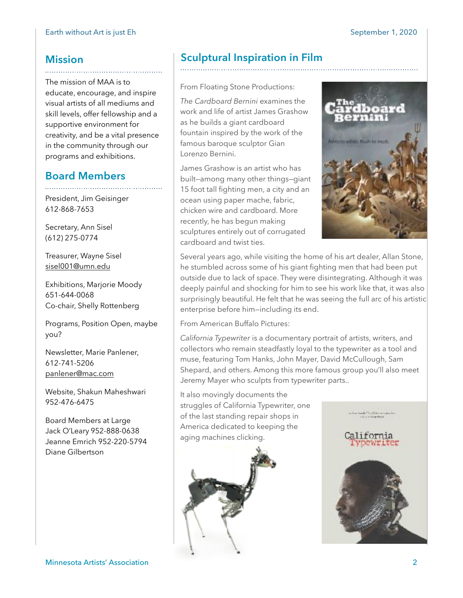### **Mission**

The mission of MAA is to educate, encourage, and inspire visual artists of all mediums and skill levels, offer fellowship and a supportive environment for creativity, and be a vital presence in the community through our programs and exhibitions.

## **Board Members**

President, Jim Geisinger 612-868-7653

Secretary, Ann Sisel (612) 275-0774

Treasurer, Wayne Sisel [sisel001@umn.edu](mailto:sisel001@umn.edu)

Exhibitions, Marjorie Moody 651-644-0068 Co-chair, Shelly Rottenberg

Programs, Position Open, maybe you?

Newsletter, Marie Panlener, 612-741-5206 [panlener@mac.com](mailto:panlener@mac.com)

Website, Shakun Maheshwari 952-476-6475

Board Members at Large Jack O'Leary 952-888-0638 Jeanne Emrich 952-220-5794 Diane Gilbertson

## **Sculptural Inspiration in Film**

From Floating Stone Productions:

*The Cardboard Bernini* examines the work and life of artist James Grashow as he builds a giant cardboard fountain inspired by the work of the famous baroque sculptor Gian Lorenzo Bernini.

James Grashow is an artist who has built—among many other things—giant 15 foot tall fighting men, a city and an ocean using paper mache, fabric, chicken wire and cardboard. More recently, he has begun making sculptures entirely out of corrugated cardboard and twist ties.



Several years ago, while visiting the home of his art dealer, Allan Stone, he stumbled across some of his giant fighting men that had been put outside due to lack of space. They were disintegrating. Although it was deeply painful and shocking for him to see his work like that, it was also surprisingly beautiful. He felt that he was seeing the full arc of his artistic enterprise before him—including its end.

From American Buffalo Pictures:

*California Typewriter* is a documentary portrait of artists, writers, and collectors who remain steadfastly loyal to the typewriter as a tool and muse, featuring Tom Hanks, John Mayer, David McCullough, Sam Shepard, and others. Among this more famous group you'll also meet Jeremy Mayer who sculpts from typewriter parts..

It also movingly documents the struggles of California Typewriter, one of the last standing repair shops in America dedicated to keeping the aging machines clicking.



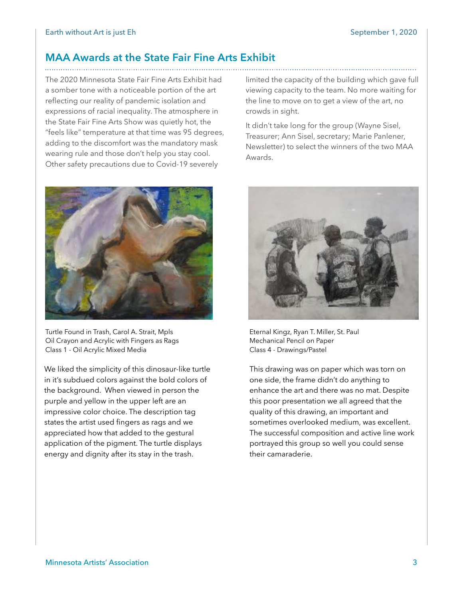### **MAA Awards at the State Fair Fine Arts Exhibit**

The 2020 Minnesota State Fair Fine Arts Exhibit had a somber tone with a noticeable portion of the art reflecting our reality of pandemic isolation and expressions of racial inequality. The atmosphere in the State Fair Fine Arts Show was quietly hot, the "feels like" temperature at that time was 95 degrees, adding to the discomfort was the mandatory mask wearing rule and those don't help you stay cool. Other safety precautions due to Covid-19 severely



Turtle Found in Trash, Carol A. Strait, Mpls Oil Crayon and Acrylic with Fingers as Rags Class 1 - Oil Acrylic Mixed Media

We liked the simplicity of this dinosaur-like turtle in it's subdued colors against the bold colors of the background. When viewed in person the purple and yellow in the upper left are an impressive color choice. The description tag states the artist used fingers as rags and we appreciated how that added to the gestural application of the pigment. The turtle displays energy and dignity after its stay in the trash.

limited the capacity of the building which gave full viewing capacity to the team. No more waiting for the line to move on to get a view of the art, no crowds in sight.

It didn't take long for the group (Wayne Sisel, Treasurer; Ann Sisel, secretary; Marie Panlener, Newsletter) to select the winners of the two MAA Awards.



Eternal Kingz, Ryan T. Miller, St. Paul Mechanical Pencil on Paper Class 4 - Drawings/Pastel

This drawing was on paper which was torn on one side, the frame didn't do anything to enhance the art and there was no mat. Despite this poor presentation we all agreed that the quality of this drawing, an important and sometimes overlooked medium, was excellent. The successful composition and active line work portrayed this group so well you could sense their camaraderie.